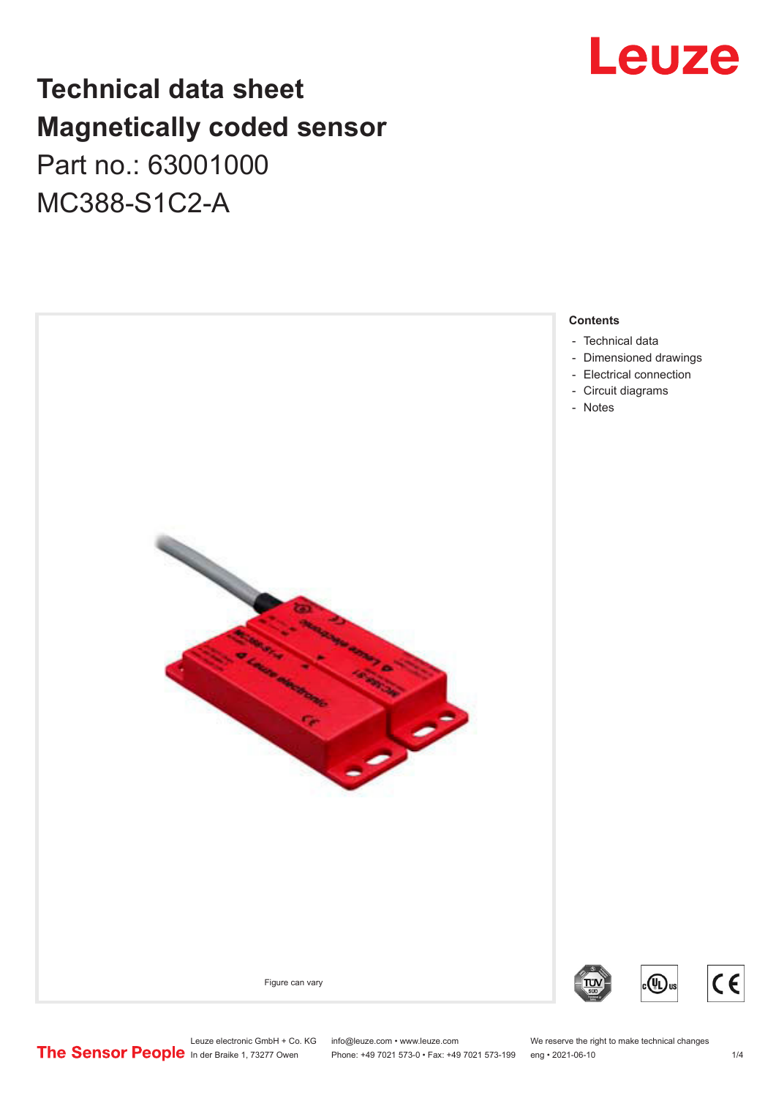# **Leuze**

## **Technical data sheet Magnetically coded sensor** Part no.: 63001000

MC388-S1C2-A



Leuze electronic GmbH + Co. KG info@leuze.com • www.leuze.com We reserve the right to make technical changes<br>
The Sensor People in der Braike 1, 73277 Owen Phone: +49 7021 573-0 • Fax: +49 7021 573-199 eng • 2021-06-10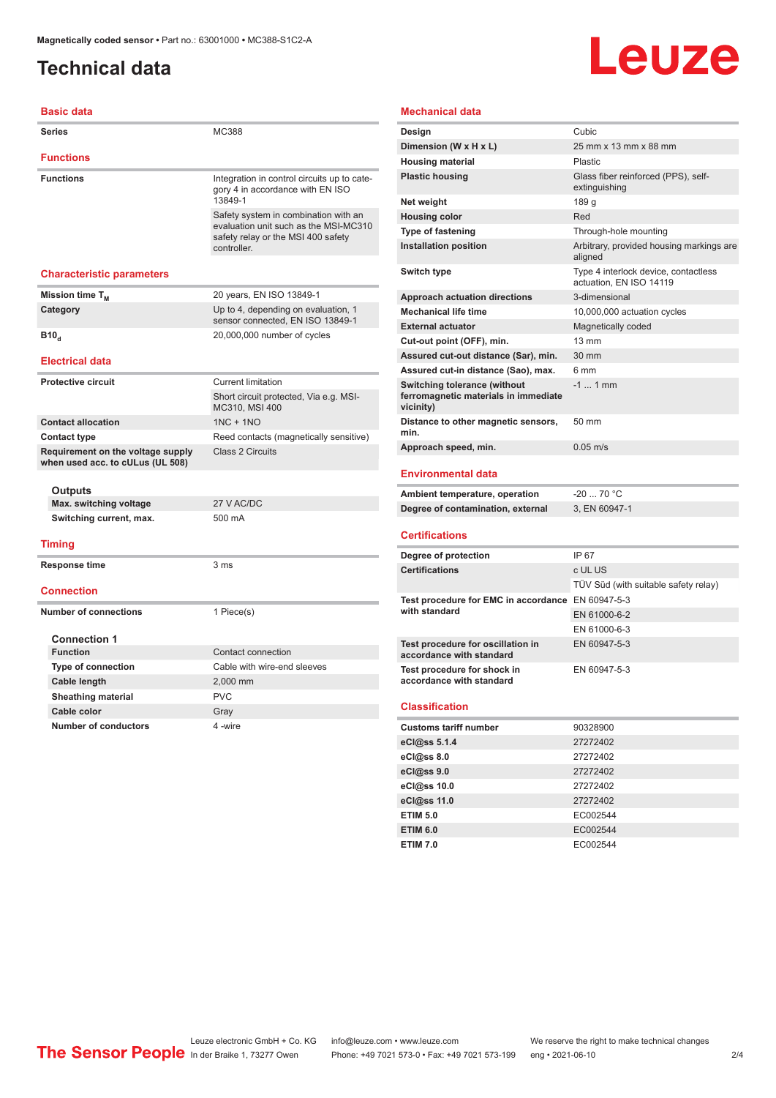## <span id="page-1-0"></span>**Technical data**

# Leuze

| <b>Basic data</b>                                                     |                                                                                                                                    |
|-----------------------------------------------------------------------|------------------------------------------------------------------------------------------------------------------------------------|
| Series                                                                | MC388                                                                                                                              |
| <b>Functions</b>                                                      |                                                                                                                                    |
| <b>Functions</b>                                                      | Integration in control circuits up to cate-<br>gory 4 in accordance with EN ISO<br>13849-1                                         |
|                                                                       | Safety system in combination with an<br>evaluation unit such as the MSI-MC310<br>safety relay or the MSI 400 safety<br>controller. |
| <b>Characteristic parameters</b>                                      |                                                                                                                                    |
| Mission time T <sub>M</sub>                                           | 20 years, EN ISO 13849-1                                                                                                           |
| Category                                                              | Up to 4, depending on evaluation, 1<br>sensor connected, EN ISO 13849-1                                                            |
| B10 <sub>a</sub>                                                      | 20,000,000 number of cycles                                                                                                        |
| <b>Electrical data</b>                                                |                                                                                                                                    |
| <b>Protective circuit</b>                                             | <b>Current limitation</b>                                                                                                          |
|                                                                       | Short circuit protected, Via e.g. MSI-<br>MC310, MSI 400                                                                           |
| <b>Contact allocation</b>                                             | $1NC + 1NO$                                                                                                                        |
| <b>Contact type</b>                                                   | Reed contacts (magnetically sensitive)                                                                                             |
| Requirement on the voltage supply<br>when used acc. to cULus (UL 508) | <b>Class 2 Circuits</b>                                                                                                            |
| Outputs                                                               |                                                                                                                                    |
| Max. switching voltage                                                | 27 V AC/DC                                                                                                                         |
| Switching current, max.                                               | 500 mA                                                                                                                             |
| <b>Timing</b>                                                         |                                                                                                                                    |
| Response time                                                         | 3 ms                                                                                                                               |
| <b>Connection</b>                                                     |                                                                                                                                    |
| <b>Number of connections</b>                                          | 1 Piece(s)                                                                                                                         |
| <b>Connection 1</b>                                                   |                                                                                                                                    |
| <b>Function</b>                                                       | Contact connection                                                                                                                 |
| <b>Type of connection</b>                                             | Cable with wire-end sleeves                                                                                                        |
| Cable length                                                          | 2,000 mm                                                                                                                           |
| <b>Sheathing material</b>                                             | <b>PVC</b>                                                                                                                         |
| Cable color                                                           | Gray                                                                                                                               |
| <b>Number of conductors</b>                                           | 4-wire                                                                                                                             |

### **Mechanical data**

| Design                                                                                   | Cubic                                                           |
|------------------------------------------------------------------------------------------|-----------------------------------------------------------------|
| Dimension (W x H x L)                                                                    | 25 mm x 13 mm x 88 mm                                           |
| <b>Housing material</b>                                                                  | Plastic                                                         |
| <b>Plastic housing</b>                                                                   | Glass fiber reinforced (PPS), self-<br>extinguishing            |
| Net weight                                                                               | 189 g                                                           |
| <b>Housing color</b>                                                                     | Red                                                             |
| <b>Type of fastening</b>                                                                 | Through-hole mounting                                           |
| <b>Installation position</b>                                                             | Arbitrary, provided housing markings are<br>aligned             |
| Switch type                                                                              | Type 4 interlock device, contactless<br>actuation. EN ISO 14119 |
| <b>Approach actuation directions</b>                                                     | 3-dimensional                                                   |
| <b>Mechanical life time</b>                                                              | 10,000,000 actuation cycles                                     |
| <b>External actuator</b>                                                                 | Magnetically coded                                              |
| Cut-out point (OFF), min.                                                                | $13 \text{ mm}$                                                 |
| Assured cut-out distance (Sar), min.                                                     | 30 mm                                                           |
| Assured cut-in distance (Sao), max.                                                      | 6 mm                                                            |
| <b>Switching tolerance (without</b><br>ferromagnetic materials in immediate<br>vicinity) | $-1$ 1 mm                                                       |
| Distance to other magnetic sensors,<br>min.                                              | 50 mm                                                           |
| Approach speed, min.                                                                     | $0.05 \text{ m/s}$                                              |
|                                                                                          |                                                                 |

#### **Environmental data**

| Ambient temperature, operation    | -20  70 °C    |
|-----------------------------------|---------------|
| Degree of contamination, external | 3. EN 60947-1 |

#### **Certifications**

| Degree of protection                                               | IP 67                                |
|--------------------------------------------------------------------|--------------------------------------|
| <b>Certifications</b>                                              | c UL US                              |
|                                                                    | TÜV Süd (with suitable safety relay) |
| Test procedure for EMC in accordance EN 60947-5-3<br>with standard |                                      |
|                                                                    | EN 61000-6-2                         |
|                                                                    | EN 61000-6-3                         |
| Test procedure for oscillation in<br>accordance with standard      | EN 60947-5-3                         |
| Test procedure for shock in<br>accordance with standard            | EN 60947-5-3                         |

#### **Classification**

| <b>Customs tariff number</b> | 90328900 |  |
|------------------------------|----------|--|
| eCl@ss 5.1.4                 | 27272402 |  |
| eCl@ss 8.0                   | 27272402 |  |
| eCl@ss 9.0                   | 27272402 |  |
| eCl@ss 10.0                  | 27272402 |  |
| eCl@ss 11.0                  | 27272402 |  |
| <b>ETIM 5.0</b>              | EC002544 |  |
| <b>ETIM 6.0</b>              | EC002544 |  |
| <b>ETIM 7.0</b>              | EC002544 |  |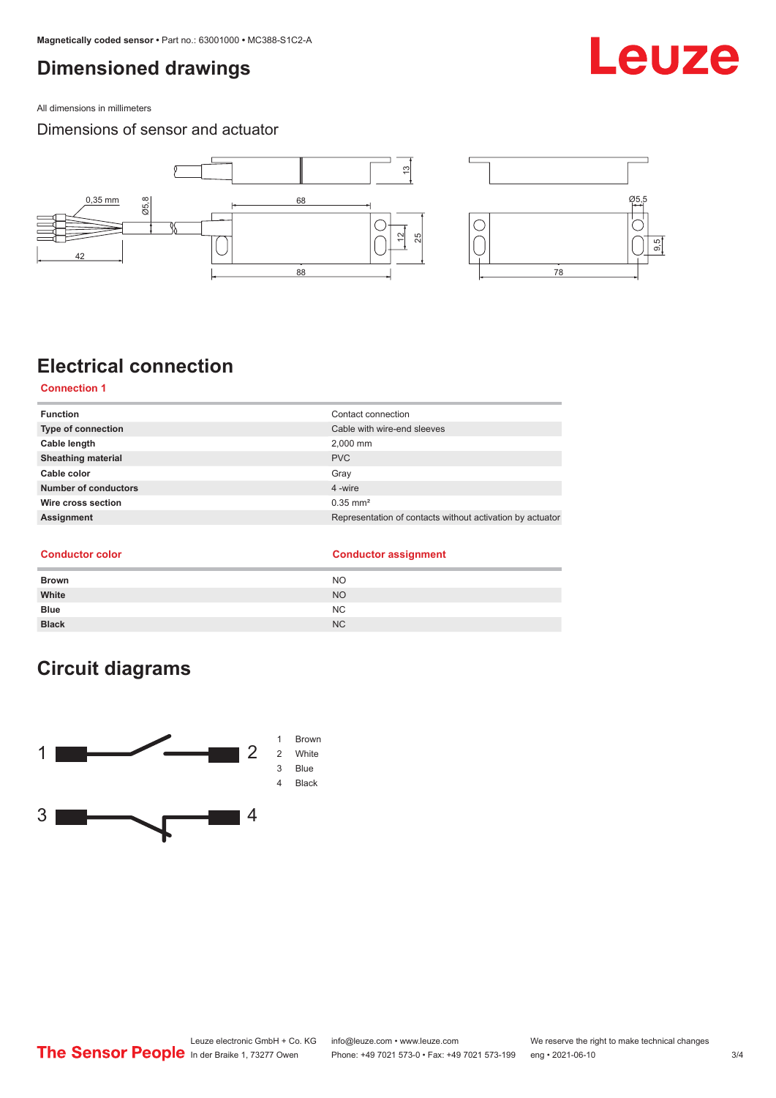## <span id="page-2-0"></span>**Dimensioned drawings**

All dimensions in millimeters

### Dimensions of sensor and actuator



## **Electrical connection**

**Connection 1**

| <b>Function</b>           | Contact connection                                        |
|---------------------------|-----------------------------------------------------------|
| <b>Type of connection</b> | Cable with wire-end sleeves                               |
| Cable length              | 2,000 mm                                                  |
| <b>Sheathing material</b> | <b>PVC</b>                                                |
| Cable color               | Gray                                                      |
| Number of conductors      | 4-wire                                                    |
| Wire cross section        | $0.35$ mm <sup>2</sup>                                    |
| Assignment                | Representation of contacts without activation by actuator |
|                           |                                                           |

#### **Conductor color Conductor assignment**

| <b>Brown</b> | <b>NO</b> |
|--------------|-----------|
| White        | <b>NO</b> |
| <b>Blue</b>  | NC        |
| <b>Black</b> | <b>NC</b> |

## **Circuit diagrams**



## Leuze